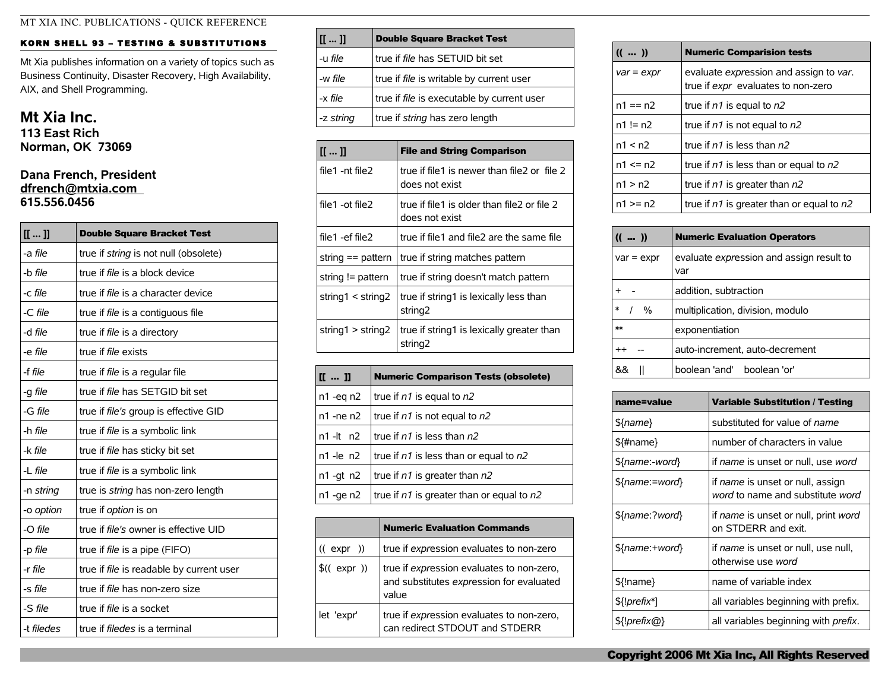## KORN SHELL 93 - TESTING & SUBSTITUTIONS

Mt Xia publishes information on a variety of topics such as Business Continuity, Disaster Recovery, High Availability, AIX, and Shell Programming.

## **Mt Xia Inc.**

**113 East Rich Norman, OK 73069**

## **Dana French, President [dfrench@mtxia.com](mailto:dfrench@mtxia.com)  615.556.0456**

| [[]]       | <b>Double Square Bracket Test</b>            |  |  |
|------------|----------------------------------------------|--|--|
| -a file    | true if <i>string</i> is not null (obsolete) |  |  |
| -b file    | true if <i>file</i> is a block device        |  |  |
| -c file    | true if <i>file</i> is a character device    |  |  |
| -C file    | true if file is a contiguous file            |  |  |
| -d file    | true if <i>file</i> is a directory           |  |  |
| -e file    | true if <i>file</i> exists                   |  |  |
| -f file    | true if <i>file</i> is a regular file        |  |  |
| -g file    | true if file has SETGID bit set              |  |  |
| -G file    | true if file's group is effective GID        |  |  |
| -h file    | true if file is a symbolic link              |  |  |
| -k file    | true if <i>file</i> has sticky bit set       |  |  |
| $-L$ file  | true if <i>file</i> is a symbolic link       |  |  |
| -n string  | true is <i>string</i> has non-zero length    |  |  |
| -o option  | true if <i>option</i> is on                  |  |  |
| -O file    | true if <i>file's</i> owner is effective UID |  |  |
| -p file    | true if <i>file</i> is a pipe (FIFO)         |  |  |
| -r file    | true if file is readable by current user     |  |  |
| -s file    | true if <i>file</i> has non-zero size        |  |  |
| -S file    | true if <i>file</i> is a socket              |  |  |
| -t filedes | true if <i>filedes</i> is a terminal         |  |  |

| [[]]      | <b>Double Square Bracket Test</b>          |  |  |
|-----------|--------------------------------------------|--|--|
| -u file   | true if file has SETUID bit set            |  |  |
| -w file   | true if file is writable by current user   |  |  |
| -x file   | true if file is executable by current user |  |  |
| -z string | true if string has zero length             |  |  |

| [[]]                    | <b>File and String Comparison</b>                                |  |  |
|-------------------------|------------------------------------------------------------------|--|--|
| file1 -nt file2         | true if file1 is newer than file2 or file 2<br>does not exist    |  |  |
| file1 -ot file2         | true if file1 is older than file2 or file 2<br>does not exist    |  |  |
| file1 -ef file2         | true if file1 and file2 are the same file                        |  |  |
| string $==$ pattern     | true if string matches pattern                                   |  |  |
| string != pattern       | true if string doesn't match pattern                             |  |  |
| string $1 <$ string $2$ | true if string1 is lexically less than<br>string <sub>2</sub>    |  |  |
| string1 > string2       | true if string1 is lexically greater than<br>string <sub>2</sub> |  |  |

| $\mathbf{I}$ $\mathbf{I}$ $\mathbf{I}$ $\mathbf{I}$ | <b>Numeric Comparison Tests (obsolete)</b>    |  |  |
|-----------------------------------------------------|-----------------------------------------------|--|--|
| $n1 - eq n2$                                        | true if $n1$ is equal to $n2$                 |  |  |
| $n1$ -ne $n2$                                       | true if $n1$ is not equal to $n2$             |  |  |
| $n1 - It$ $n2$                                      | true if $n1$ is less than $n2$                |  |  |
| $n1$ -le $n2$                                       | true if $n1$ is less than or equal to $n2$    |  |  |
| $n1$ -gt $n2$                                       | true if $n1$ is greater than $n2$             |  |  |
| $n1 - ge n2$                                        | true if $n1$ is greater than or equal to $n2$ |  |  |

|            | <b>Numeric Evaluation Commands</b>                                                             |  |
|------------|------------------------------------------------------------------------------------------------|--|
| ((expr))   | true if expression evaluates to non-zero                                                       |  |
| \$(expr))  | true if expression evaluates to non-zero,<br>and substitutes expression for evaluated<br>value |  |
| let 'expr' | true if expression evaluates to non-zero,<br>can redirect STDOUT and STDERR                    |  |

| (())         | <b>Numeric Comparision tests</b>                                             |  |  |
|--------------|------------------------------------------------------------------------------|--|--|
| $var = expr$ | evaluate expression and assign to var.<br>true if expr evaluates to non-zero |  |  |
| $n1 == n2$   | true if $n1$ is equal to $n2$                                                |  |  |
| $n1 = n2$    | true if $n1$ is not equal to $n2$                                            |  |  |
| n1 < n2      | true if $n1$ is less than $n2$                                               |  |  |
| $n1 \le n2$  | true if $n1$ is less than or equal to $n2$                                   |  |  |
| n1 > n2      | true if $n1$ is greater than $n2$                                            |  |  |
| $n1 >= n2$   | true if $n1$ is greater than or equal to $n2$                                |  |  |

| (())           | <b>Numeric Evaluation Operators</b>             |  |  |
|----------------|-------------------------------------------------|--|--|
| $var = expr$   | evaluate expression and assign result to<br>var |  |  |
| $\ddot{}$      | addition, subtraction                           |  |  |
| $\ast$<br>$\%$ | multiplication, division, modulo                |  |  |
| $**$           | exponentiation                                  |  |  |
| $^{++}$        | auto-increment, auto-decrement                  |  |  |
| &&             | boolean 'and' boolean 'or'                      |  |  |

| name=value     | <b>Variable Substitution / Testing</b>                               |  |
|----------------|----------------------------------------------------------------------|--|
| \${name}       | substituted for value of name                                        |  |
| \${#name}      | number of characters in value                                        |  |
| \${name:-word} | if name is unset or null, use word                                   |  |
| \${name:=word} | if name is unset or null, assign<br>word to name and substitute word |  |
| \${name:?word} | if name is unset or null, print word<br>on STDERR and exit.          |  |
| \${name:+word} | if name is unset or null, use null,<br>otherwise use word            |  |
| \${!name}      | name of variable index                                               |  |
| \${!prefix*]   | all variables beginning with prefix.                                 |  |
| \${!prefix@}   | all variables beginning with <i>prefix</i> .                         |  |